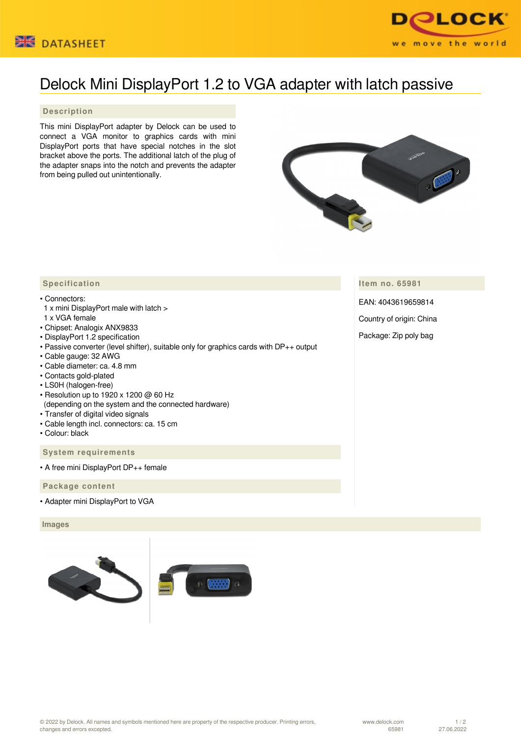



# Delock Mini DisplayPort 1.2 to VGA adapter with latch passive

## **Description**

This mini DisplayPort adapter by Delock can be used to connect a VGA monitor to graphics cards with mini DisplayPort ports that have special notches in the slot bracket above the ports. The additional latch of the plug of the adapter snaps into the notch and prevents the adapter from being pulled out unintentionally.



## **Item no. 65981**

EAN: 4043619659814

Country of origin: China

Package: Zip poly bag

## **Specification**

#### • Connectors:

- 1 x mini DisplayPort male with latch >
- 1 x VGA female
- Chipset: Analogix ANX9833
- DisplayPort 1.2 specification
- Passive converter (level shifter), suitable only for graphics cards with DP++ output
- Cable gauge: 32 AWG
- Cable diameter: ca. 4.8 mm
- Contacts gold-plated
- LS0H (halogen-free)
- Resolution up to 1920 x 1200 @ 60 Hz (depending on the system and the connected hardware)
- Transfer of digital video signals
- Cable length incl. connectors: ca. 15 cm
- Colour: black

### **System requirements**

• A free mini DisplayPort DP++ female

#### **Package content**

• Adapter mini DisplayPort to VGA

#### **Images**